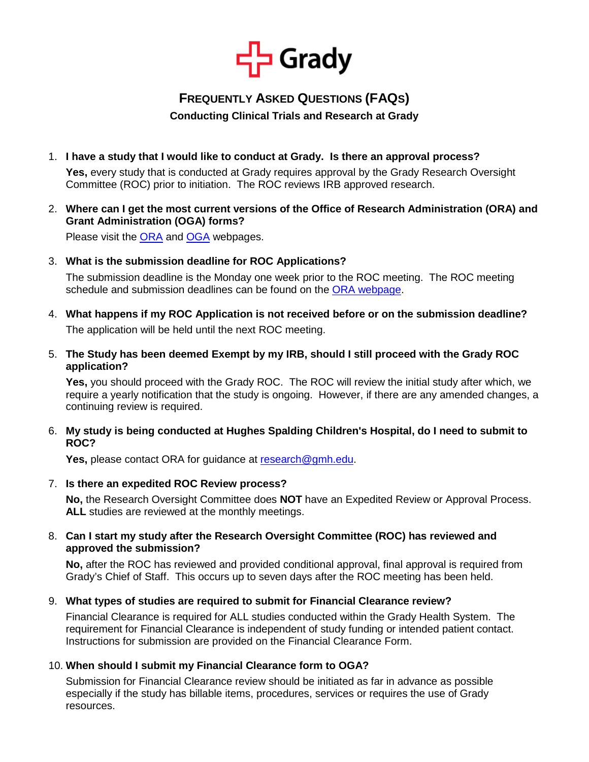

# **FREQUENTLY ASKED QUESTIONS (FAQS)**

# **Conducting Clinical Trials and Research at Grady**

1. **I have a study that I would like to conduct at Grady. Is there an approval process?** 

**Yes,** every study that is conducted at Grady requires approval by the Grady Research Oversight Committee (ROC) prior to initiation. The ROC reviews IRB approved research.

2. **Where can I get the most current versions of the Office of Research Administration (ORA) and Grant Administration (OGA) forms?** 

Please visit the [ORA](http://www.gradyhealth.org/static/office-of-research-administration) and [OGA](http://www.gradyhealth.org/static/office-of-grants-administration) webpages.

3. **What is the submission deadline for ROC Applications?**

The submission deadline is the Monday one week prior to the ROC meeting. The ROC meeting schedule and submission deadlines can be found on the [ORA webpage.](http://www.gradyhealth.org/static/office-of-research-administration)

- 4. **What happens if my ROC Application is not received before or on the submission deadline?** The application will be held until the next ROC meeting.
- 5. **The Study has been deemed Exempt by my IRB, should I still proceed with the Grady ROC application?**

**Yes,** you should proceed with the Grady ROC. The ROC will review the initial study after which, we require a yearly notification that the study is ongoing. However, if there are any amended changes, a continuing review is required.

6. **My study is being conducted at Hughes Spalding Children's Hospital, do I need to submit to ROC?** 

**Yes,** please contact ORA for guidance at [research@gmh.edu.](mailto:research@gmh.edu)

7. **Is there an expedited ROC Review process?** 

**No,** the Research Oversight Committee does **NOT** have an Expedited Review or Approval Process. **ALL** studies are reviewed at the monthly meetings.

# 8. **Can I start my study after the Research Oversight Committee (ROC) has reviewed and approved the submission?**

**No,** after the ROC has reviewed and provided conditional approval, final approval is required from Grady's Chief of Staff. This occurs up to seven days after the ROC meeting has been held.

9. **What types of studies are required to submit for Financial Clearance review?** 

Financial Clearance is required for ALL studies conducted within the Grady Health System. The requirement for Financial Clearance is independent of study funding or intended patient contact. Instructions for submission are provided on the Financial Clearance Form.

# 10. **When should I submit my Financial Clearance form to OGA?**

Submission for Financial Clearance review should be initiated as far in advance as possible especially if the study has billable items, procedures, services or requires the use of Grady resources.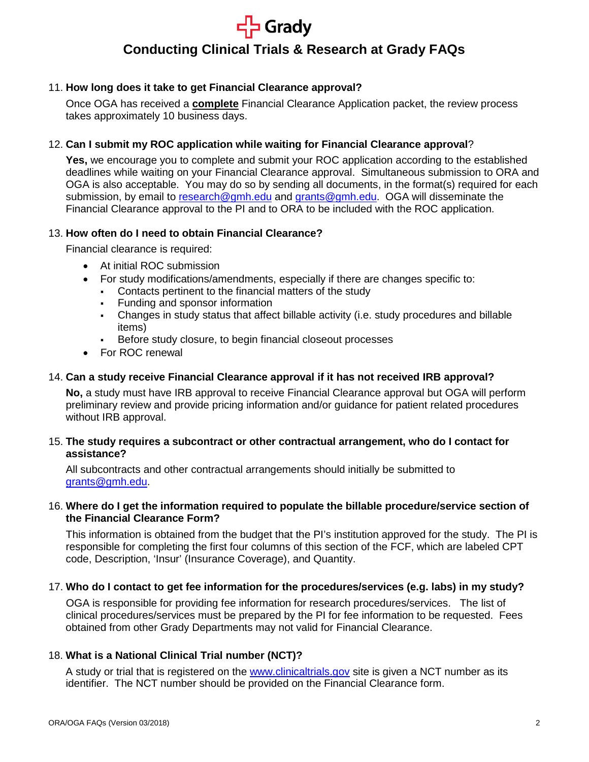# **Srady Conducting Clinical Trials & Research at Grady FAQs**

## 11. **How long does it take to get Financial Clearance approval?**

Once OGA has received a **complete** Financial Clearance Application packet, the review process takes approximately 10 business days.

#### 12. **Can I submit my ROC application while waiting for Financial Clearance approval**?

**Yes,** we encourage you to complete and submit your ROC application according to the established deadlines while waiting on your Financial Clearance approval. Simultaneous submission to ORA and OGA is also acceptable. You may do so by sending all documents, in the format(s) required for each submission, by email to [research@gmh.edu](mailto:research@gmh.edu) and [grants@gmh.edu.](mailto:grants@gmh.edu) OGA will disseminate the Financial Clearance approval to the PI and to ORA to be included with the ROC application.

#### 13. **How often do I need to obtain Financial Clearance?**

Financial clearance is required:

- At initial ROC submission
	- For study modifications/amendments, especially if there are changes specific to:
		- Contacts pertinent to the financial matters of the study
		- Funding and sponsor information
		- Changes in study status that affect billable activity (i.e. study procedures and billable items)
	- Before study closure, to begin financial closeout processes
- For ROC renewal

# 14. **Can a study receive Financial Clearance approval if it has not received IRB approval?**

**No,** a study must have IRB approval to receive Financial Clearance approval but OGA will perform preliminary review and provide pricing information and/or guidance for patient related procedures without IRB approval.

#### 15. **The study requires a subcontract or other contractual arrangement, who do I contact for assistance?**

All subcontracts and other contractual arrangements should initially be submitted to [grants@gmh.edu.](mailto:grants@gmh.edu)

#### 16. **Where do I get the information required to populate the billable procedure/service section of the Financial Clearance Form?**

This information is obtained from the budget that the PI's institution approved for the study. The PI is responsible for completing the first four columns of this section of the FCF, which are labeled CPT code, Description, 'Insur' (Insurance Coverage), and Quantity.

#### 17. **Who do I contact to get fee information for the procedures/services (e.g. labs) in my study?**

OGA is responsible for providing fee information for research procedures/services. The list of clinical procedures/services must be prepared by the PI for fee information to be requested. Fees obtained from other Grady Departments may not valid for Financial Clearance.

# 18. **What is a National Clinical Trial number (NCT)?**

A study or trial that is registered on the [www.clinicaltrials.gov](http://www.clinicaltrials.gov/) site is given a NCT number as its identifier. The NCT number should be provided on the Financial Clearance form.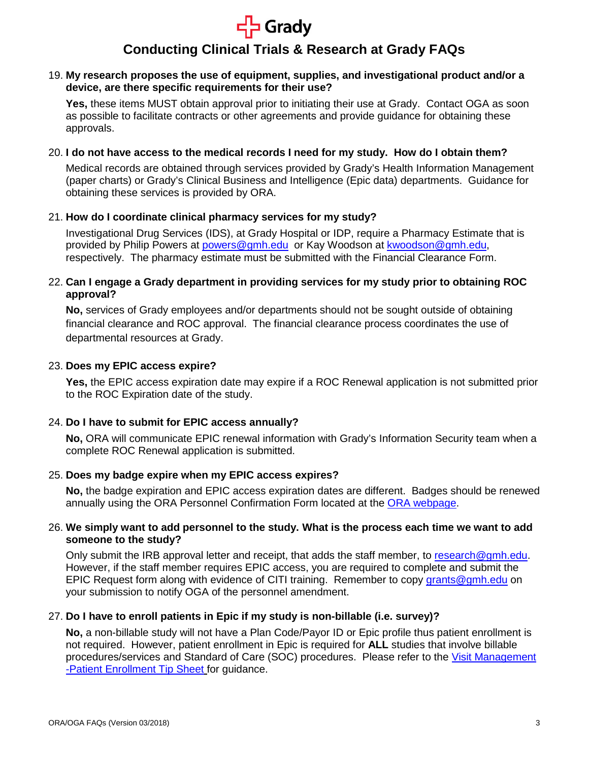

# **Conducting Clinical Trials & Research at Grady FAQs**

#### 19. **My research proposes the use of equipment, supplies, and investigational product and/or a device, are there specific requirements for their use?**

**Yes,** these items MUST obtain approval prior to initiating their use at Grady. Contact OGA as soon as possible to facilitate contracts or other agreements and provide guidance for obtaining these approvals.

#### 20. **I do not have access to the medical records I need for my study. How do I obtain them?**

Medical records are obtained through services provided by Grady's Health Information Management (paper charts) or Grady's Clinical Business and Intelligence (Epic data) departments. Guidance for obtaining these services is provided by ORA.

#### 21. **How do I coordinate clinical pharmacy services for my study?**

Investigational Drug Services (IDS), at Grady Hospital or IDP, require a Pharmacy Estimate that is provided by Philip Powers at [powers@gmh.edu](mailto:powers@gmh.edu) or Kay Woodson at [kwoodson@gmh.edu,](mailto:kwoodson@gmh.edu) respectively. The pharmacy estimate must be submitted with the Financial Clearance Form.

## 22. **Can I engage a Grady department in providing services for my study prior to obtaining ROC approval?**

**No,** services of Grady employees and/or departments should not be sought outside of obtaining financial clearance and ROC approval. The financial clearance process coordinates the use of departmental resources at Grady.

#### 23. **Does my EPIC access expire?**

**Yes,** the EPIC access expiration date may expire if a ROC Renewal application is not submitted prior to the ROC Expiration date of the study.

# 24. **Do I have to submit for EPIC access annually?**

**No,** ORA will communicate EPIC renewal information with Grady's Information Security team when a complete ROC Renewal application is submitted.

#### 25. **Does my badge expire when my EPIC access expires?**

**No,** the badge expiration and EPIC access expiration dates are different. Badges should be renewed annually using the ORA Personnel Confirmation Form located at the [ORA webpage.](http://www.gradyhealth.org/static/office-of-research-administration)

#### 26. **We simply want to add personnel to the study. What is the process each time we want to add someone to the study?**

Only submit the IRB approval letter and receipt, that adds the staff member, to [research@gmh.edu.](mailto:research@gmh.edu) However, if the staff member requires EPIC access, you are required to complete and submit the EPIC Request form along with evidence of CITI training. Remember to copy [grants@gmh.edu](mailto:grants@gmh.edu) on your submission to notify OGA of the personnel amendment.

#### 27. **Do I have to enroll patients in Epic if my study is non-billable (i.e. survey)?**

**No,** a non-billable study will not have a Plan Code/Payor ID or Epic profile thus patient enrollment is not required. However, patient enrollment in Epic is required for **ALL** studies that involve billable procedures/services and Standard of Care (SOC) procedures. Please refer to the [Visit Management](http://www.gradyhealth.org/static/office-of-grants-administration)  [-Patient Enrollment Tip Sheet](http://www.gradyhealth.org/static/office-of-grants-administration) for guidance.